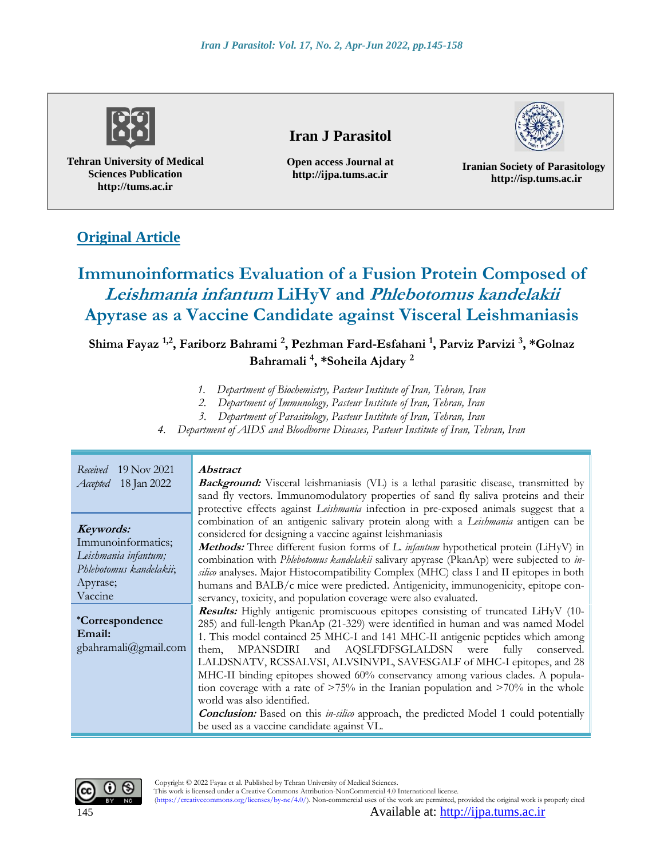

**Tehran University of Medical Sciences Publication http://tums.ac.ir**

# **Iran J Parasitol**

**Open access Journal at http://ijpa.tums.ac.ir**

**Iranian Society of Parasitology http://isp.tums.ac.ir**

# **Original Article**

# **Immunoinformatics Evaluation of a Fusion Protein Composed of Leishmania infantum LiHyV and Phlebotomus kandelakii Apyrase as a Vaccine Candidate against Visceral Leishmaniasis**

# **Shima Fayaz 1,2, Fariborz Bahrami <sup>2</sup> , Pezhman Fard-Esfahani <sup>1</sup> , Parviz Parvizi <sup>3</sup> , \*Golnaz Bahramali <sup>4</sup> , \*Soheila Ajdary <sup>2</sup>**

- *1. Department of Biochemistry, Pasteur Institute of Iran, Tehran, Iran*
- *2. Department of Immunology, Pasteur Institute of Iran, Tehran, Iran*
- *3. Department of Parasitology, Pasteur Institute of Iran, Tehran, Iran*
- *4. Department of AIDS and Bloodborne Diseases, Pasteur Institute of Iran, Tehran, Iran*

| $19$ Nov 2021<br>Received<br><i>Accepted</i> 18 Jan 2022                                                  | <i><b>Abstract</b></i><br><b>Background:</b> Visceral leishmaniasis (VL) is a lethal parasitic disease, transmitted by<br>sand fly vectors. Immunomodulatory properties of sand fly saliva proteins and their<br>protective effects against <i>Leishmania</i> infection in pre-exposed animals suggest that a                                                                                                                                                                                                                                                                                                                                                                                                                                                       |
|-----------------------------------------------------------------------------------------------------------|---------------------------------------------------------------------------------------------------------------------------------------------------------------------------------------------------------------------------------------------------------------------------------------------------------------------------------------------------------------------------------------------------------------------------------------------------------------------------------------------------------------------------------------------------------------------------------------------------------------------------------------------------------------------------------------------------------------------------------------------------------------------|
| Keywords:<br>Immunoinformatics;<br>Leishmania infantum;<br>Phlebotomus kandelakii;<br>Apyrase;<br>Vaccine | combination of an antigenic salivary protein along with a Leishmania antigen can be<br>considered for designing a vaccine against leishmaniasis<br><b>Methods:</b> Three different fusion forms of L. infantum hypothetical protein (LiHyV) in<br>combination with <i>Phlebotomus kandelakii</i> salivary apyrase (PkanAp) were subjected to <i>in</i> -<br>silico analyses. Major Histocompatibility Complex (MHC) class I and II epitopes in both<br>humans and BALB/c mice were predicted. Antigenicity, immunogenicity, epitope con-<br>servancy, toxicity, and population coverage were also evaluated.                                                                                                                                                        |
| <i>*Correspondence</i><br>Email:<br>gbahramali@gmail.com                                                  | <b>Results:</b> Highly antigenic promiscuous epitopes consisting of truncated LiHyV (10-<br>285) and full-length PkanAp (21-329) were identified in human and was named Model<br>1. This model contained 25 MHC-I and 141 MHC-II antigenic peptides which among<br>and AQSLFDFSGLALDSN were fully conserved.<br>MPANSDIRI<br>them.<br>LALDSNATV, RCSSALVSI, ALVSINVPL, SAVESGALF of MHC-I epitopes, and 28<br>MHC-II binding epitopes showed 60% conservancy among various clades. A popula-<br>tion coverage with a rate of $>75\%$ in the Iranian population and $>70\%$ in the whole<br>world was also identified.<br><b>Conclusion:</b> Based on this in-silico approach, the predicted Model 1 could potentially<br>be used as a vaccine candidate against VL. |



This work is licensed under a Creative Commons Attribution-NonCommercial 4.0 International license. (https://creativecommons.org/licenses/by-nc/4.0/). Non-commercial uses of the work are permitted, provided the original work is properly cited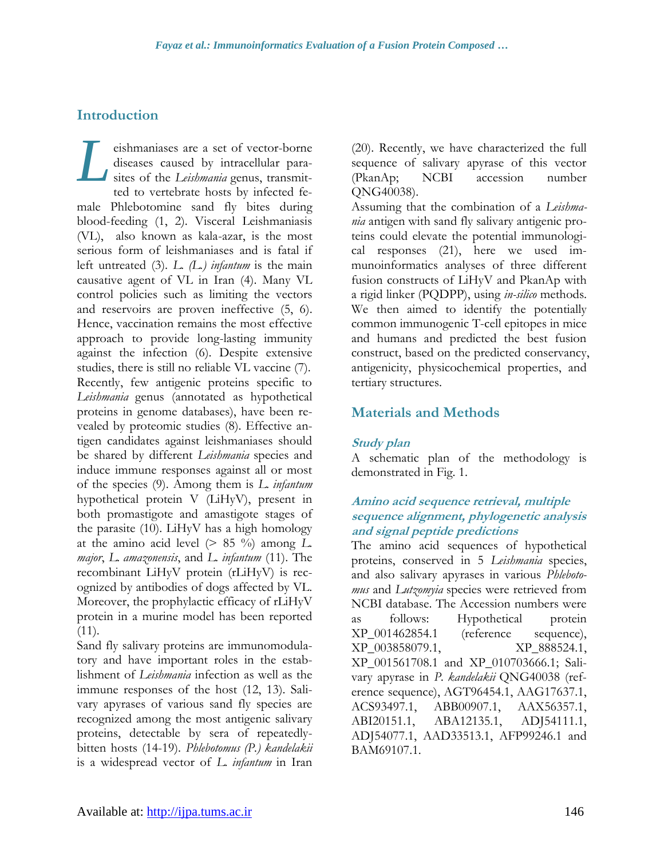## **Introduction**

eishmaniases are a set of vector-borne diseases caused by intracellular parasites of the *Leishmania* genus, transmitted to vertebrate hosts by infected female Phlebotomine sand fly bites during blood-feeding (1, 2). Visceral Leishmaniasis (VL), also known as kala-azar, is the most serious form of leishmaniases and is fatal if left untreated (3). *L. (L.) infantum* is the main causative agent of VL in Iran (4). Many VL control policies such as limiting the vectors and reservoirs are proven ineffective (5, 6). Hence, vaccination remains the most effective approach to provide long-lasting immunity against the infection (6). Despite extensive studies, there is still no reliable VL vaccine (7). Recently, few antigenic proteins specific to *Leishmania* genus (annotated as hypothetical proteins in genome databases), have been revealed by proteomic studies (8). Effective antigen candidates against leishmaniases should be shared by different *Leishmania* species and induce immune responses against all or most of the species (9). Among them is *L. infantum* hypothetical protein V (LiHyV), present in both promastigote and amastigote stages of the parasite (10). LiHyV has a high homology at the amino acid level  $(> 85\frac{9}{9})$  among L. *major*, *L. amazonensis*, and *L. infantum* (11). The recombinant LiHyV protein (rLiHyV) is recognized by antibodies of dogs affected by VL. Moreover, the prophylactic efficacy of rLiHyV protein in a murine model has been reported  $(11)$ . *L*

Sand fly salivary proteins are immunomodulatory and have important roles in the establishment of *Leishmania* infection as well as the immune responses of the host (12, 13). Salivary apyrases of various sand fly species are recognized among the most antigenic salivary proteins, detectable by sera of repeatedlybitten hosts (14-19). *Phlebotomus (P.) kandelakii*  is a widespread vector of *L. infantum* in Iran

(20). Recently, we have characterized the full sequence of salivary apyrase of this vector (PkanAp; NCBI accession number QNG40038).

Assuming that the combination of a *Leishmania* antigen with sand fly salivary antigenic proteins could elevate the potential immunological responses (21), here we used immunoinformatics analyses of three different fusion constructs of LiHyV and PkanAp with a rigid linker (PQDPP), using *in-silico* methods. We then aimed to identify the potentially common immunogenic T-cell epitopes in mice and humans and predicted the best fusion construct, based on the predicted conservancy, antigenicity, physicochemical properties, and tertiary structures.

## **Materials and Methods**

#### **Study plan**

A schematic plan of the methodology is demonstrated in Fig. 1.

#### **Amino acid sequence retrieval, multiple sequence alignment, phylogenetic analysis and signal peptide predictions**

The amino acid sequences of hypothetical proteins, conserved in 5 *Leishmania* species, and also salivary apyrases in various *Phlebotomus* and *Lutzomyia* species were retrieved from NCBI database. The Accession numbers were as follows: Hypothetical protein XP\_001462854.1 (reference sequence), XP\_003858079.1, XP\_888524.1, XP\_001561708.1 and XP\_010703666.1; Salivary apyrase in *P. kandelakii* QNG40038 (reference sequence), AGT96454.1, AAG17637.1, ACS93497.1, ABB00907.1, AAX56357.1, ABI20151.1, ABA12135.1, ADJ54111.1, ADJ54077.1, AAD33513.1, AFP99246.1 and BAM69107.1.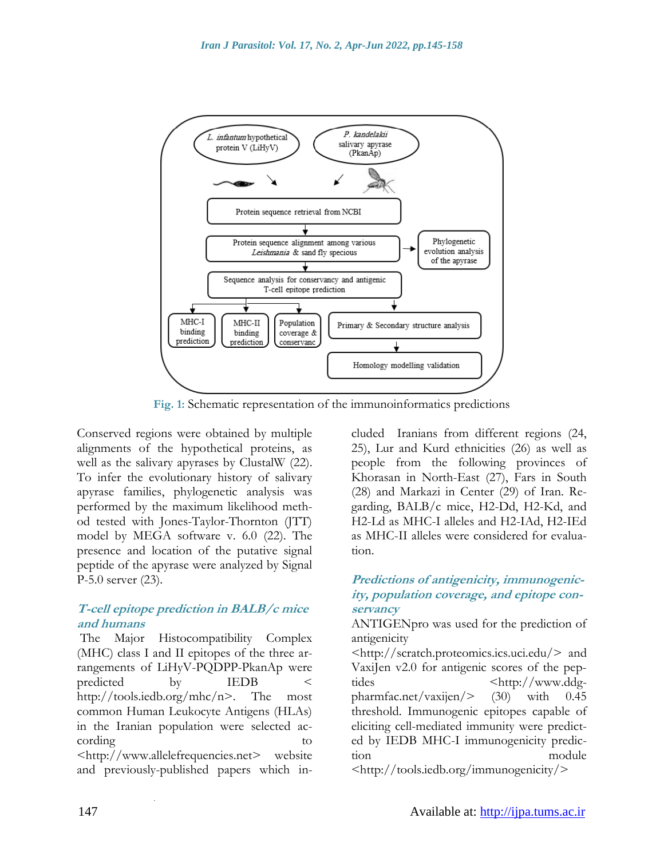

**Fig. 1:** Schematic representation of the immunoinformatics predictions

Conserved regions were obtained by multiple alignments of the hypothetical proteins, as well as the salivary apyrases by ClustalW (22). To infer the evolutionary history of salivary apyrase families, phylogenetic analysis was performed by the maximum likelihood method tested with Jones-Taylor-Thornton (JTT) model by MEGA software v. 6.0 (22). The presence and location of the putative signal peptide of the apyrase were analyzed by Signal P-5.0 server (23).

#### **T-cell epitope prediction in BALB/c mice and humans**

The Major Histocompatibility Complex (MHC) class I and II epitopes of the three arrangements of LiHyV-PQDPP-PkanAp were predicted by IEDB < [http://tools.iedb.org/mhc/n>](http://tools.iedb.org/mhc/n). The most common Human Leukocyte Antigens (HLAs) in the Iranian population were selected according [<http://www.allelefrequencies.net>](http://www.allelefrequencies.net/) website and previously-published papers which in-

.

cluded Iranians from different regions (24, 25), Lur and Kurd ethnicities (26) as well as people from the following provinces of Khorasan in North-East (27), Fars in South (28) and Markazi in Center (29) of Iran. Regarding, BALB/c mice, H2-Dd, H2-Kd, and H2-Ld as MHC-I alleles and H2-IAd, H2-IEd as MHC-II alleles were considered for evaluation.

## **Predictions of antigenicity, immunogenicity, population coverage, and epitope conservancy**

ANTIGENpro was used for the prediction of antigenicity

[<http://scratch.proteomics.ics.uci.edu/>](http://scratch.proteomics.ics.uci.edu/) and VaxiJen v2.0 for antigenic scores of the peptides  $\langle \text{http://www.ddg-} \rangle$ pharmfac.net/vaxijen/> (30) with 0.45 threshold. Immunogenic epitopes capable of eliciting cell-mediated immunity were predicted by IEDB MHC-I immunogenicity prediction module

[<http://tools.iedb.org/immunogenicity/>](http://tools.iedb.org/immunogenicity/)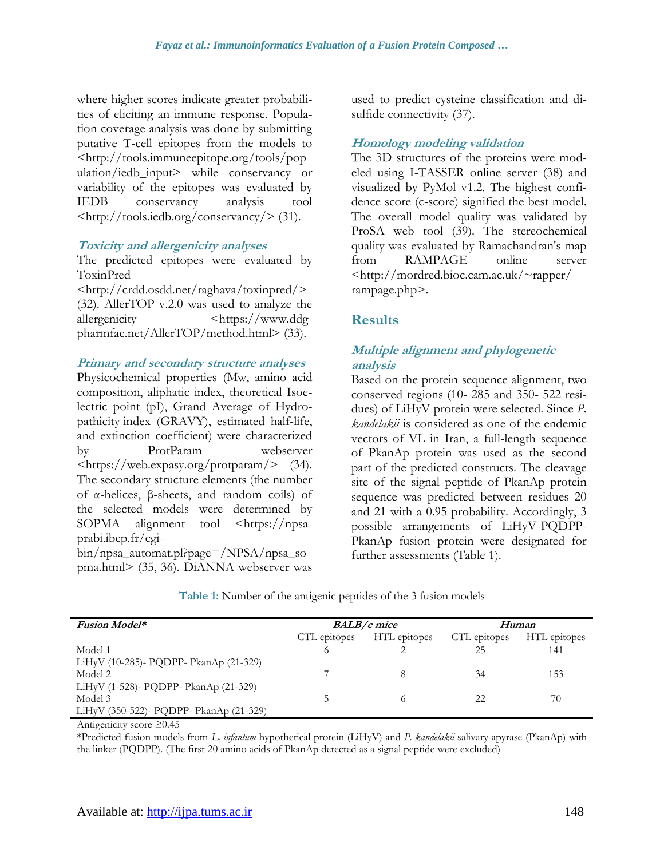where higher scores indicate greater probabilities of eliciting an immune response. Population coverage analysis was done by submitting putative T-cell epitopes from the models to [<http://tools.immuneepitope.org/tools/pop](http://tools.immuneepitope.org/tools/population/iedb_input) [ulation/iedb\\_input>](http://tools.immuneepitope.org/tools/population/iedb_input) while conservancy or variability of the epitopes was evaluated by IEDB conservancy analysis tool [<http://tools.iedb.org/conservancy/>](http://tools.iedb.org/conservancy/) (31).

#### **Toxicity and allergenicity analyses**

The predicted epitopes were evaluated by ToxinPred

[<http://crdd.osdd.net/raghava/toxinpred/>](http://crdd.osdd.net/raghava/toxinpred/) (32). AllerTOP v.2.0 was used to analyze the allergenicity  $\langle \text{https://www.ddg-}$ pharmfac.net/AllerTOP/method.html> (33).

## **Primary and secondary structure analyses**

Physicochemical properties (Mw, amino acid composition, aliphatic index, theoretical Isoelectric point (pI), Grand Average of Hydropathicity index (GRAVY), estimated half-life, and extinction coefficient) were characterized by ProtParam webserver [<https://web.expasy.org/protparam/>](https://web.expasy.org/protparam/) (34). The secondary structure elements (the number of α-helices, β-sheets, and random coils) of the selected models were determined by SOPMA alignment tool [<https://npsa](https://npsa-prabi.ibcp.fr/cgi-bin/npsa_automat.pl?page=/NPSA/npsa_sopma.html)[prabi.ibcp.fr/cgi-](https://npsa-prabi.ibcp.fr/cgi-bin/npsa_automat.pl?page=/NPSA/npsa_sopma.html)

[bin/npsa\\_automat.pl?page=/NPSA/npsa\\_so](https://npsa-prabi.ibcp.fr/cgi-bin/npsa_automat.pl?page=/NPSA/npsa_sopma.html) [pma.html>](https://npsa-prabi.ibcp.fr/cgi-bin/npsa_automat.pl?page=/NPSA/npsa_sopma.html) (35, 36). DiANNA webserver was used to predict cysteine classification and disulfide connectivity (37).

## **Homology modeling validation**

The 3D structures of the proteins were modeled using I-TASSER online server (38) and visualized by PyMol v1.2. The highest confidence score (c-score) signified the best model. The overall model quality was validated by ProSA web tool (39). The stereochemical quality was evaluated by Ramachandran's map from RAMPAGE online server <http://mordred.bioc.cam.ac.uk/~rapper/ rampage.php>.

## **Results**

## **Multiple alignment and phylogenetic analysis**

Based on the protein sequence alignment, two conserved regions (10- 285 and 350- 522 residues) of LiHyV protein were selected. Since *P. kandelakii* is considered as one of the endemic vectors of VL in Iran, a full-length sequence of PkanAp protein was used as the second part of the predicted constructs. The cleavage site of the signal peptide of PkanAp protein sequence was predicted between residues 20 and 21 with a 0.95 probability. Accordingly, 3 possible arrangements of LiHyV-PQDPP-PkanAp fusion protein were designated for further assessments (Table 1).

| <b>Fusion Model*</b>                    | <b>BALB/c</b> mice |              | Human        |              |
|-----------------------------------------|--------------------|--------------|--------------|--------------|
|                                         | CTL epitopes       | HTL epitopes | CTL epitopes | HTL epitopes |
| Model 1                                 | O                  |              | 25           | 141          |
| LiHyV (10-285)- PQDPP- PkanAp (21-329)  |                    |              |              |              |
| Model 2                                 |                    |              | 34           | 153          |
| LiHyV (1-528)- PQDPP- PkanAp (21-329)   |                    |              |              |              |
| Model 3                                 | ר                  |              | 22           | 70           |
| LiHyV (350-522)- PQDPP- PkanAp (21-329) |                    |              |              |              |

**Table 1:** Number of the antigenic peptides of the 3 fusion models

Antigenicity score ≥0.45

\*Predicted fusion models from *L. infantum* hypothetical protein (LiHyV) and *P. kandelakii* salivary apyrase (PkanAp) with the linker (PQDPP). (The first 20 amino acids of PkanAp detected as a signal peptide were excluded)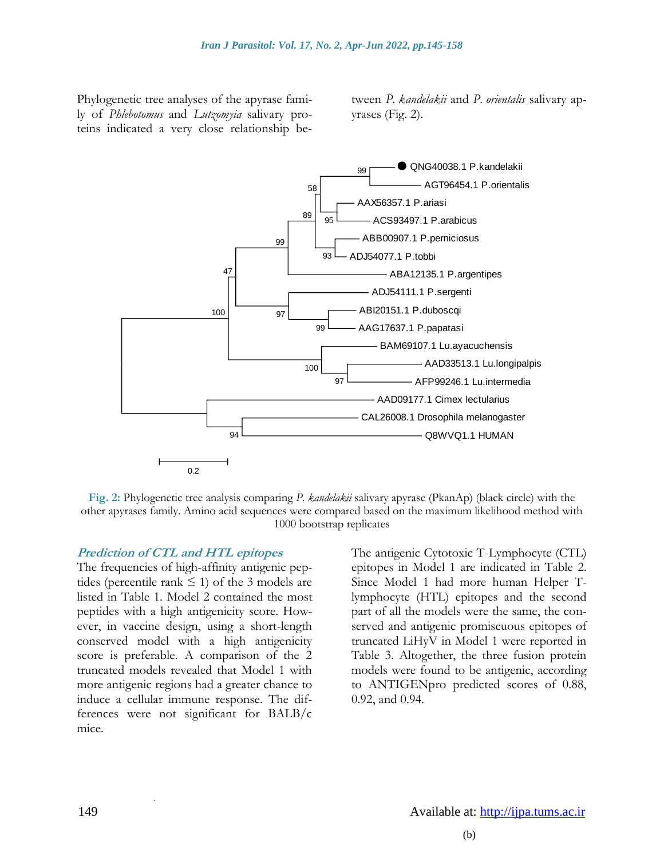Phylogenetic tree analyses of the apyrase family of *Phlebotomus* and *Lutzomyia* salivary proteins indicated a very close relationship between *P. kandelakii* and *P. orientalis* salivary apyrases (Fig. 2).



**Fig. 2:** Phylogenetic tree analysis comparing *P. kandelakii* salivary apyrase (PkanAp) (black circle) with the other apyrases family. Amino acid sequences were compared based on the maximum likelihood method with 1000 bootstrap replicates

#### **Prediction of CTL and HTL epitopes**

The frequencies of high-affinity antigenic peptides (percentile rank  $\leq$  1) of the 3 models are listed in Table 1. Model 2 contained the most peptides with a high antigenicity score. However, in vaccine design, using a short-length conserved model with a high antigenicity score is preferable. A comparison of the 2 truncated models revealed that Model 1 with more antigenic regions had a greater chance to induce a cellular immune response. The differences were not significant for BALB/c mice.

The antigenic Cytotoxic T-Lymphocyte (CTL) epitopes in Model 1 are indicated in Table 2. Since Model 1 had more human Helper Tlymphocyte (HTL) epitopes and the second part of all the models were the same, the conserved and antigenic promiscuous epitopes of truncated LiHyV in Model 1 were reported in Table 3. Altogether, the three fusion protein models were found to be antigenic, according to ANTIGENpro predicted scores of 0.88, 0.92, and 0.94.

.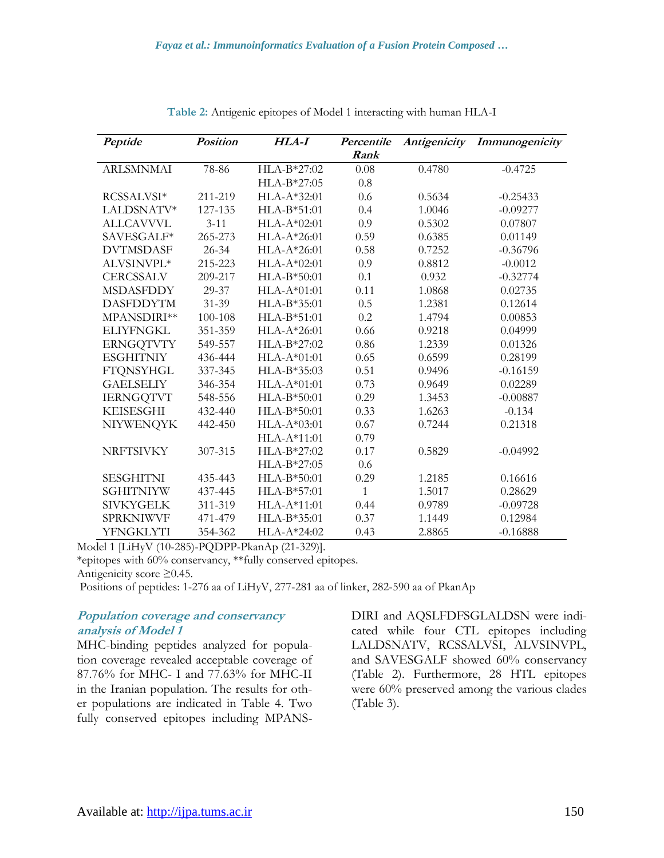| Peptide          | <b>Position</b> | HLA-I         | Percentile | Antigenicity | Immunogenicity |
|------------------|-----------------|---------------|------------|--------------|----------------|
|                  |                 |               | Rank       |              |                |
| <b>ARLSMNMAI</b> | 78-86           | HLA-B*27:02   | 0.08       | 0.4780       | $-0.4725$      |
|                  |                 | HLA-B*27:05   | 0.8        |              |                |
| RCSSALVSI*       | 211-219         | HLA-A*32:01   | 0.6        | 0.5634       | $-0.25433$     |
| LALDSNATV*       | 127-135         | HLA-B*51:01   | 0.4        | 1.0046       | $-0.09277$     |
| <b>ALLCAVVVL</b> | $3 - 11$        | $HLA-A*02:01$ | 0.9        | 0.5302       | 0.07807        |
| SAVESGALF*       | 265-273         | HLA-A*26:01   | 0.59       | 0.6385       | 0.01149        |
| <b>DVTMSDASF</b> | $26 - 34$       | HLA-A*26:01   | 0.58       | 0.7252       | $-0.36796$     |
| ALVSINVPL*       | 215-223         | HLA-A*02:01   | 0.9        | 0.8812       | $-0.0012$      |
| <b>CERCSSALV</b> | 209-217         | $HLA-B*50:01$ | 0.1        | 0.932        | $-0.32774$     |
| <b>MSDASFDDY</b> | 29-37           | $HLA-A*01:01$ | 0.11       | 1.0868       | 0.02735        |
| <b>DASFDDYTM</b> | $31 - 39$       | HLA-B*35:01   | 0.5        | 1.2381       | 0.12614        |
| MPANSDIRI**      | 100-108         | $HLA-B*51:01$ | 0.2        | 1.4794       | 0.00853        |
| <b>ELIYFNGKL</b> | 351-359         | HLA-A*26:01   | 0.66       | 0.9218       | 0.04999        |
| <b>ERNGQTVTY</b> | 549-557         | HLA-B*27:02   | 0.86       | 1.2339       | 0.01326        |
| <b>ESGHITNIY</b> | 436-444         | $HLA-A*01:01$ | 0.65       | 0.6599       | 0.28199        |
| <b>FTQNSYHGL</b> | 337-345         | $HLA-B*35:03$ | 0.51       | 0.9496       | $-0.16159$     |
| <b>GAELSELIY</b> | 346-354         | HLA-A*01:01   | 0.73       | 0.9649       | 0.02289        |
| <b>IERNGQTVT</b> | 548-556         | HLA-B*50:01   | 0.29       | 1.3453       | $-0.00887$     |
| <b>KEISESGHI</b> | 432-440         | HLA-B*50:01   | 0.33       | 1.6263       | $-0.134$       |
| <b>NIYWENQYK</b> | 442-450         | $HLA-A*03:01$ | 0.67       | 0.7244       | 0.21318        |
|                  |                 | HLA-A*11:01   | 0.79       |              |                |
| <b>NRFTSIVKY</b> | 307-315         | HLA-B*27:02   | 0.17       | 0.5829       | $-0.04992$     |
|                  |                 | $HLA-B*27:05$ | 0.6        |              |                |
| <b>SESGHITNI</b> | 435-443         | HLA-B*50:01   | 0.29       | 1.2185       | 0.16616        |
| <b>SGHITNIYW</b> | 437-445         | HLA-B*57:01   | 1          | 1.5017       | 0.28629        |
| <b>SIVKYGELK</b> | 311-319         | $HLA-A*11:01$ | 0.44       | 0.9789       | $-0.09728$     |
| <b>SPRKNIWVF</b> | 471-479         | HLA-B*35:01   | 0.37       | 1.1449       | 0.12984        |
| <b>YFNGKLYTI</b> | 354-362         | $HLA-A*24:02$ | 0.43       | 2.8865       | $-0.16888$     |

**Table 2:** Antigenic epitopes of Model 1 interacting with human HLA-I

Model 1 [LiHyV (10-285)-PQDPP-PkanAp (21-329)].

\*epitopes with 60% conservancy, \*\*fully conserved epitopes.

Antigenicity score ≥0.45.

Positions of peptides: 1-276 aa of LiHyV, 277-281 aa of linker, 282-590 aa of PkanAp

#### **Population coverage and conservancy analysis of Model 1**

MHC-binding peptides analyzed for population coverage revealed acceptable coverage of 87.76% for MHC- I and 77.63% for MHC-II in the Iranian population. The results for other populations are indicated in Table 4. Two fully conserved epitopes including MPANS-

DIRI and AQSLFDFSGLALDSN were indicated while four CTL epitopes including LALDSNATV, RCSSALVSI, ALVSINVPL, and SAVESGALF showed 60% conservancy (Table 2). Furthermore, 28 HTL epitopes were 60% preserved among the various clades (Table 3).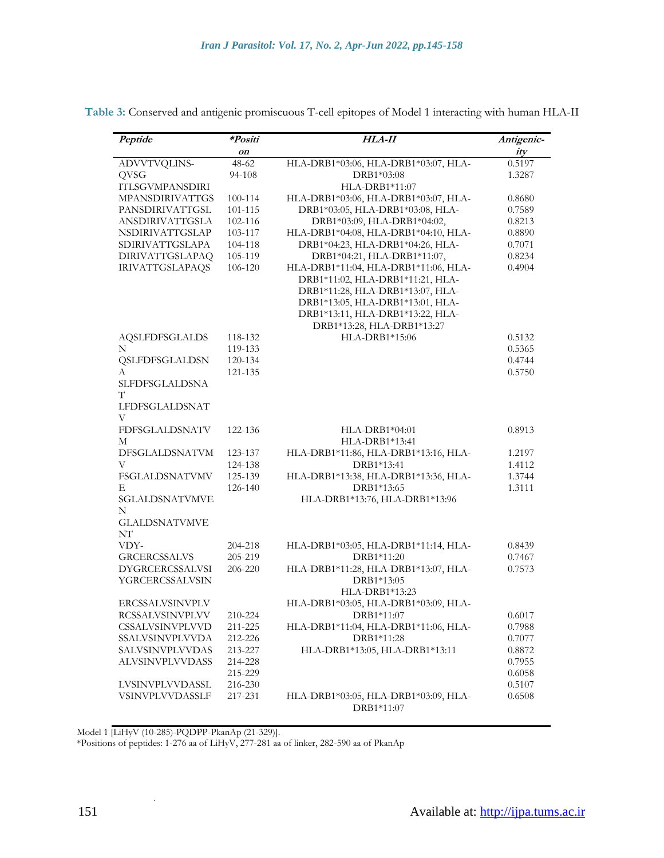| Peptide                | *Positi | <b>HLA-II</b>                        | Antigenic- |
|------------------------|---------|--------------------------------------|------------|
|                        | on      |                                      | ity        |
| ADVVTVQLINS-           | $48-62$ | HLA-DRB1*03:06, HLA-DRB1*03:07, HLA- | 0.5197     |
| QVSG                   | 94-108  | DRB1*03:08                           | 1.3287     |
| <b>ITLSGVMPANSDIRI</b> |         | HLA-DRB1*11:07                       |            |
| <b>MPANSDIRIVATTGS</b> | 100-114 | HLA-DRB1*03:06, HLA-DRB1*03:07, HLA- | 0.8680     |
| PANSDIRIVATTGSL        | 101-115 | DRB1*03:05, HLA-DRB1*03:08, HLA-     | 0.7589     |
| <b>ANSDIRIVATTGSLA</b> | 102-116 | DRB1*03:09, HLA-DRB1*04:02,          | 0.8213     |
| NSDIRIVATTGSLAP        | 103-117 | HLA-DRB1*04:08, HLA-DRB1*04:10, HLA- | 0.8890     |
| <b>SDIRIVATTGSLAPA</b> | 104-118 | DRB1*04:23, HLA-DRB1*04:26, HLA-     | 0.7071     |
| <b>DIRIVATTGSLAPAQ</b> | 105-119 | DRB1*04:21, HLA-DRB1*11:07,          | 0.8234     |
| <b>IRIVATTGSLAPAQS</b> | 106-120 | HLA-DRB1*11:04, HLA-DRB1*11:06, HLA- | 0.4904     |
|                        |         |                                      |            |
|                        |         | DRB1*11:02, HLA-DRB1*11:21, HLA-     |            |
|                        |         | DRB1*11:28, HLA-DRB1*13:07, HLA-     |            |
|                        |         | DRB1*13:05, HLA-DRB1*13:01, HLA-     |            |
|                        |         | DRB1*13:11, HLA-DRB1*13:22, HLA-     |            |
|                        |         | DRB1*13:28, HLA-DRB1*13:27           |            |
| <b>AQSLFDFSGLALDS</b>  | 118-132 | HLA-DRB1*15:06                       | 0.5132     |
| N                      | 119-133 |                                      | 0.5365     |
| QSLFDFSGLALDSN         | 120-134 |                                      | 0.4744     |
| A                      | 121-135 |                                      | 0.5750     |
| SLFDFSGLALDSNA<br>T    |         |                                      |            |
| <b>LFDFSGLALDSNAT</b>  |         |                                      |            |
| V                      |         |                                      |            |
| FDFSGLALDSNATV         | 122-136 | $HLA-DRB1*04:01$                     | 0.8913     |
| М                      |         | HLA-DRB1*13:41                       |            |
| DFSGLALDSNATVM         | 123-137 | HLA-DRB1*11:86, HLA-DRB1*13:16, HLA- | 1.2197     |
| V                      | 124-138 | DRB1*13:41                           | 1.4112     |
| FSGLALDSNATVMV         | 125-139 | HLA-DRB1*13:38, HLA-DRB1*13:36, HLA- | 1.3744     |
| E                      | 126-140 | DRB1*13:65                           | 1.3111     |
| SGLALDSNATVMVE         |         | HLA-DRB1*13:76, HLA-DRB1*13:96       |            |
| N                      |         |                                      |            |
| <b>GLALDSNATVMVE</b>   |         |                                      |            |
| NT                     |         |                                      |            |
| VDY-                   | 204-218 | HLA-DRB1*03:05, HLA-DRB1*11:14, HLA- | 0.8439     |
| <b>GRCERCSSALVS</b>    | 205-219 | DRB1*11:20                           | 0.7467     |
| <b>DYGRCERCSSALVSI</b> | 206-220 | HLA-DRB1*11:28, HLA-DRB1*13:07, HLA- | 0.7573     |
| YGRCERCSSALVSIN        |         | DRB1*13:05                           |            |
|                        |         | HLA-DRB1*13:23                       |            |
| <b>ERCSSALVSINVPLV</b> |         | HLA-DRB1*03:05, HLA-DRB1*03:09, HLA- |            |
| RCSSALVSINVPLVV        | 210-224 | DRB1*11:07                           | 0.6017     |
| CSSALVSINVPLVVD        | 211-225 | HLA-DRB1*11:04, HLA-DRB1*11:06, HLA- | 0.7988     |
| SSALVSINVPLVVDA        | 212-226 | DRB1*11:28                           | 0.7077     |
| SALVSINVPLVVDAS        | 213-227 | HLA-DRB1*13:05, HLA-DRB1*13:11       | 0.8872     |
| ALVSINVPLVVDASS        | 214-228 |                                      | 0.7955     |
|                        | 215-229 |                                      | 0.6058     |
| LVSINVPLVVDASSL        | 216-230 |                                      | 0.5107     |
| VSINVPLVVDASSLF        | 217-231 | HLA-DRB1*03:05, HLA-DRB1*03:09, HLA- | 0.6508     |
|                        |         | DRB1*11:07                           |            |
|                        |         |                                      |            |

Model 1 [LiHyV (10-285)-PQDPP-PkanAp (21-329)].

.

\*Positions of peptides: 1-276 aa of LiHyV, 277-281 aa of linker, 282-590 aa of PkanAp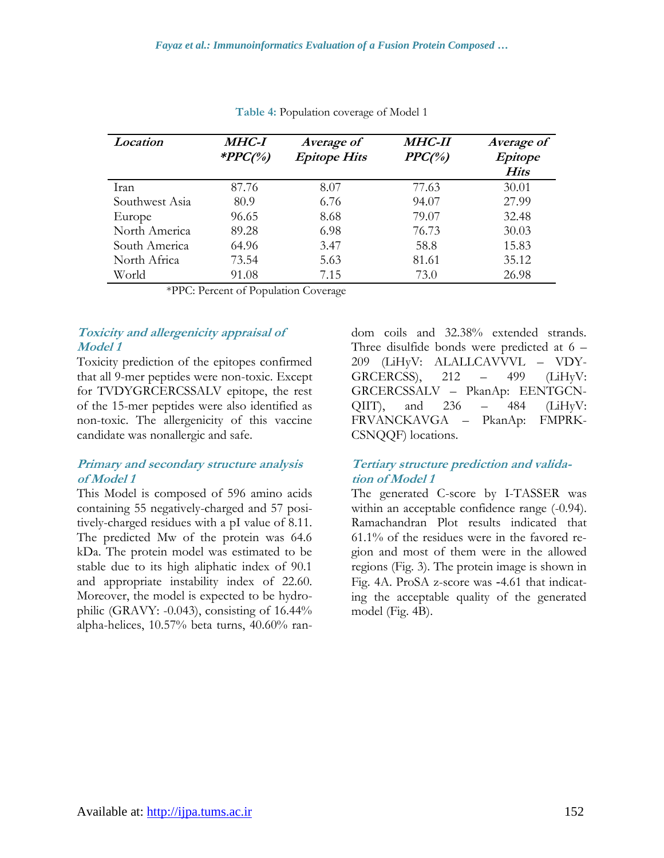| Location       | <b>MHC-I</b><br>*PPC(%) | Average of<br><b>Epitope Hits</b> | <b>MHC-II</b><br>$PPC(^{o}/_{o})$ | Average of<br>Epitope<br>Hits |
|----------------|-------------------------|-----------------------------------|-----------------------------------|-------------------------------|
| Iran           | 87.76                   | 8.07                              | 77.63                             | 30.01                         |
| Southwest Asia | 80.9                    | 6.76                              | 94.07                             | 27.99                         |
| Europe         | 96.65                   | 8.68                              | 79.07                             | 32.48                         |
| North America  | 89.28                   | 6.98                              | 76.73                             | 30.03                         |
| South America  | 64.96                   | 3.47                              | 58.8                              | 15.83                         |
| North Africa   | 73.54                   | 5.63                              | 81.61                             | 35.12                         |
| World          | 91.08                   | 7.15                              | 73.0                              | 26.98                         |

**Table 4:** Population coverage of Model 1

\*PPC: Percent of Population Coverage

## **Toxicity and allergenicity appraisal of Model 1**

Toxicity prediction of the epitopes confirmed that all 9-mer peptides were non-toxic. Except for TVDYGRCERCSSALV epitope, the rest of the 15-mer peptides were also identified as non-toxic. The allergenicity of this vaccine candidate was nonallergic and safe.

## **Primary and secondary structure analysis of Model 1**

This Model is composed of 596 amino acids containing 55 negatively-charged and 57 positively-charged residues with a pI value of 8.11. The predicted Mw of the protein was 64.6 kDa. The protein model was estimated to be stable due to its high aliphatic index of 90.1 and appropriate instability index of 22.60. Moreover, the model is expected to be hydrophilic (GRAVY: -0.043), consisting of 16.44% alpha-helices, 10.57% beta turns, 40.60% random coils and 32.38% extended strands. Three disulfide bonds were predicted at 6 – 209 (LiHyV: ALALLCAVVVL – VDY-GRCERCSS), 212 – 499 (LiHyV: GRCERCSSALV – PkanAp: EENTGCN- $QIIT$ ), and  $236 - 484$  (LiHyV: FRVANCKAVGA – PkanAp: FMPRK-CSNQQF) locations.

## **Tertiary structure prediction and validation of Model 1**

The generated C-score by I-TASSER was within an acceptable confidence range (-0.94). Ramachandran Plot results indicated that 61.1% of the residues were in the favored region and most of them were in the allowed regions (Fig. 3). The protein image is shown in Fig. 4A. ProSA z-score was -4.61 that indicating the acceptable quality of the generated model (Fig. 4B).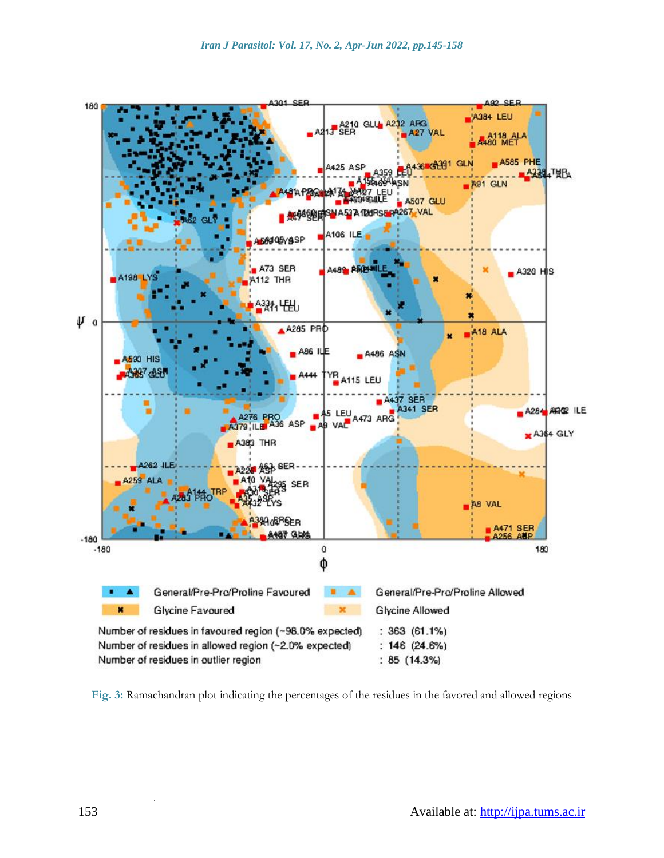

**Fig. 3:** Ramachandran plot indicating the percentages of the residues in the favored and allowed regions

.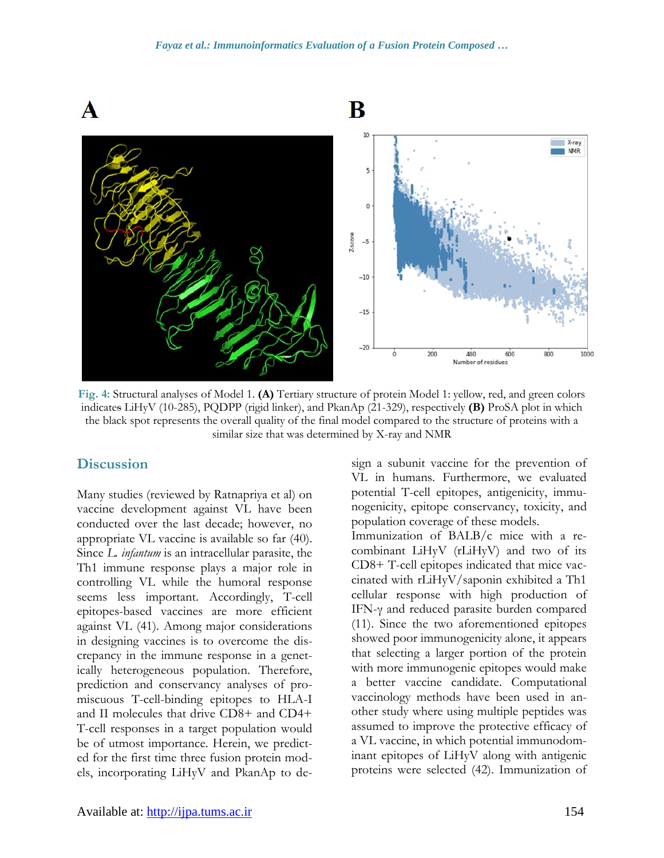

**Fig. 4:** Structural analyses of Model 1. **(A)** Tertiary structure of protein Model 1: yellow, red, and green colors indicates LiHyV (10-285), PQDPP (rigid linker), and PkanAp (21-329), respectively **(B)** ProSA plot in which the black spot represents the overall quality of the final model compared to the structure of proteins with a similar size that was determined by X-ray and NMR

## **Discussion**

Many studies (reviewed by Ratnapriya et al) on vaccine development against VL have been conducted over the last decade; however, no appropriate VL vaccine is available so far (40). Since *L. infantum* is an intracellular parasite, the Th1 immune response plays a major role in controlling VL while the humoral response seems less important. Accordingly, T-cell epitopes-based vaccines are more efficient against VL (41). Among major considerations in designing vaccines is to overcome the discrepancy in the immune response in a genetically heterogeneous population. Therefore, prediction and conservancy analyses of promiscuous T-cell-binding epitopes to HLA-I and II molecules that drive CD8+ and CD4+ T-cell responses in a target population would be of utmost importance. Herein, we predicted for the first time three fusion protein models, incorporating LiHyV and PkanAp to design a subunit vaccine for the prevention of VL in humans. Furthermore, we evaluated potential T-cell epitopes, antigenicity, immunogenicity, epitope conservancy, toxicity, and population coverage of these models.

Immunization of BALB/c mice with a recombinant LiHyV (rLiHyV) and two of its CD8+ T-cell epitopes indicated that mice vaccinated with rLiHyV/saponin exhibited a Th1 cellular response with high production of IFN-γ and reduced parasite burden compared (11). Since the two aforementioned epitopes showed poor immunogenicity alone, it appears that selecting a larger portion of the protein with more immunogenic epitopes would make a better vaccine candidate. Computational vaccinology methods have been used in another study where using multiple peptides was assumed to improve the protective efficacy of a VL vaccine, in which potential immunodominant epitopes of LiHyV along with antigenic proteins were selected (42). Immunization of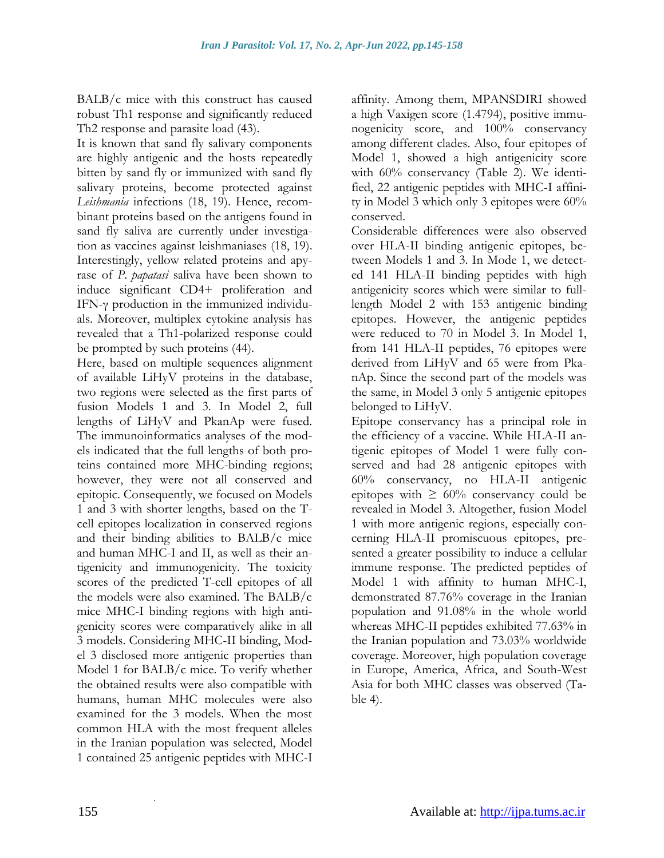BALB/c mice with this construct has caused robust Th1 response and significantly reduced Th2 response and parasite load (43).

It is known that sand fly salivary components are highly antigenic and the hosts repeatedly bitten by sand fly or immunized with sand fly salivary proteins, become protected against Leishmania infections (18, 19). Hence, recombinant proteins based on the antigens found in sand fly saliva are currently under investigation as vaccines against leishmaniases (18, 19). Interestingly, yellow related proteins and apyrase of *P. papatasi* saliva have been shown to induce significant CD4+ proliferation and IFN-γ production in the immunized individuals. Moreover, multiplex cytokine analysis has revealed that a Th1-polarized response could be prompted by such proteins (44).

Here, based on multiple sequences alignment of available LiHyV proteins in the database, two regions were selected as the first parts of fusion Models 1 and 3. In Model 2, full lengths of LiHyV and PkanAp were fused. The immunoinformatics analyses of the models indicated that the full lengths of both proteins contained more MHC-binding regions; however, they were not all conserved and epitopic. Consequently, we focused on Models 1 and 3 with shorter lengths, based on the Tcell epitopes localization in conserved regions and their binding abilities to BALB/c mice and human MHC-I and II, as well as their antigenicity and immunogenicity. The toxicity scores of the predicted T-cell epitopes of all the models were also examined. The BALB/c mice MHC-I binding regions with high antigenicity scores were comparatively alike in all 3 models. Considering MHC-II binding, Model 3 disclosed more antigenic properties than Model 1 for BALB/c mice. To verify whether the obtained results were also compatible with humans, human MHC molecules were also examined for the 3 models. When the most common HLA with the most frequent alleles in the Iranian population was selected, Model 1 contained 25 antigenic peptides with MHC-I

affinity. Among them, MPANSDIRI showed a high Vaxigen score (1.4794), positive immunogenicity score, and 100% conservancy among different clades. Also, four epitopes of Model 1, showed a high antigenicity score with 60% conservancy (Table 2). We identified, 22 antigenic peptides with MHC-I affinity in Model 3 which only 3 epitopes were 60% conserved.

Considerable differences were also observed over HLA-II binding antigenic epitopes, between Models 1 and 3. In Mode 1, we detected 141 HLA-II binding peptides with high antigenicity scores which were similar to fulllength Model 2 with 153 antigenic binding epitopes. However, the antigenic peptides were reduced to 70 in Model 3. In Model 1, from 141 HLA-II peptides, 76 epitopes were derived from LiHyV and 65 were from PkanAp. Since the second part of the models was the same, in Model 3 only 5 antigenic epitopes belonged to LiHyV.

Epitope conservancy has a principal role in the efficiency of a vaccine. While HLA-II antigenic epitopes of Model 1 were fully conserved and had 28 antigenic epitopes with 60% conservancy, no HLA-II antigenic epitopes with  $\geq 60\%$  conservancy could be revealed in Model 3. Altogether, fusion Model 1 with more antigenic regions, especially concerning HLA-II promiscuous epitopes, presented a greater possibility to induce a cellular immune response. The predicted peptides of Model 1 with affinity to human MHC-I, demonstrated 87.76% coverage in the Iranian population and 91.08% in the whole world whereas MHC-II peptides exhibited 77.63% in the Iranian population and 73.03% worldwide coverage. Moreover, high population coverage in Europe, America, Africa, and South-West Asia for both MHC classes was observed (Table 4).

.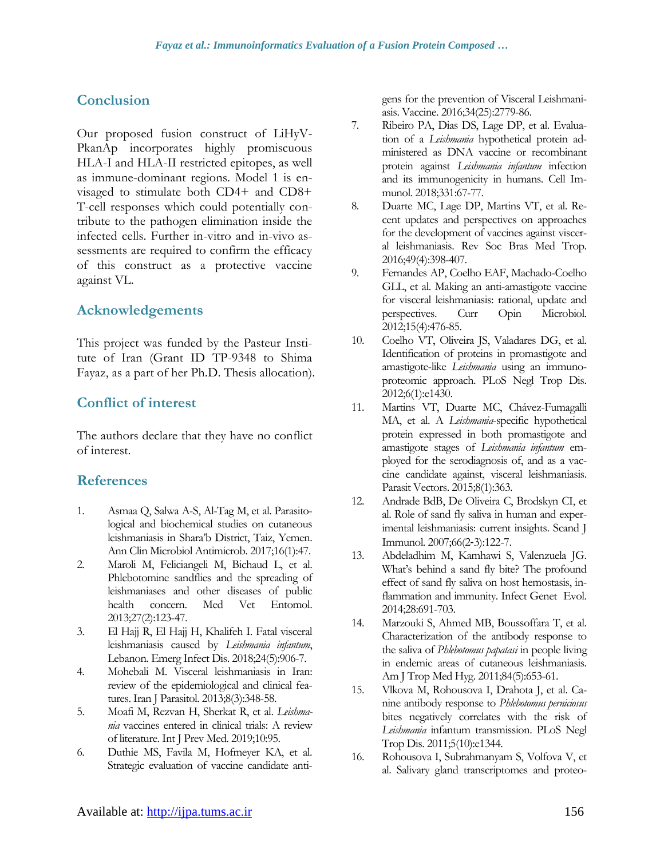# **Conclusion**

Our proposed fusion construct of LiHyV-PkanAp incorporates highly promiscuous HLA-I and HLA-II restricted epitopes, as well as immune-dominant regions. Model 1 is envisaged to stimulate both CD4+ and CD8+ T-cell responses which could potentially contribute to the pathogen elimination inside the infected cells. Further in-vitro and in-vivo assessments are required to confirm the efficacy of this construct as a protective vaccine against VL.

# **Acknowledgements**

This project was funded by the Pasteur Institute of Iran (Grant ID TP-9348 to Shima Fayaz, as a part of her Ph.D. Thesis allocation).

# **Conflict of interest**

The authors declare that they have no conflict of interest.

# **References**

- 1. Asmaa Q, Salwa A-S, Al-Tag M, et al. Parasitological and biochemical studies on cutaneous leishmaniasis in Shara'b District, Taiz, Yemen. Ann Clin Microbiol Antimicrob. 2017;16(1):47.
- 2. Maroli M, Feliciangeli M, Bichaud L, et al. Phlebotomine sandflies and the spreading of leishmaniases and other diseases of public health concern. Med Vet Entomol. 2013;27(2):123-47.
- 3. El Hajj R, El Hajj H, Khalifeh I. Fatal visceral leishmaniasis caused by *Leishmania infantum*, Lebanon. Emerg Infect Dis. 2018;24(5):906-7.
- 4. Mohebali M. Visceral leishmaniasis in Iran: review of the epidemiological and clinical features. Iran J Parasitol. 2013;8(3):348-58.
- 5. Moafi M, Rezvan H, Sherkat R, et al. *Leishmania* vaccines entered in clinical trials: A review of literature. Int J Prev Med. 2019;10:95.
- 6. Duthie MS, Favila M, Hofmeyer KA, et al. Strategic evaluation of vaccine candidate anti-

gens for the prevention of Visceral Leishmaniasis. Vaccine. 2016;34(25):2779-86.

- 7. Ribeiro PA, Dias DS, Lage DP, et al. Evaluation of a *Leishmania* hypothetical protein administered as DNA vaccine or recombinant protein against *Leishmania infantum* infection and its immunogenicity in humans. Cell Immunol. 2018;331:67-77.
- 8. Duarte MC, Lage DP, Martins VT, et al. Recent updates and perspectives on approaches for the development of vaccines against visceral leishmaniasis. Rev Soc Bras Med Trop. 2016;49(4):398-407.
- 9. Fernandes AP, Coelho EAF, Machado-Coelho GLL, et al. Making an anti-amastigote vaccine for visceral leishmaniasis: rational, update and perspectives. Curr Opin Microbiol. 2012;15(4):476-85.
- 10. Coelho VT, Oliveira JS, Valadares DG, et al. Identification of proteins in promastigote and amastigote-like *Leishmania* using an immunoproteomic approach. PLoS Negl Trop Dis. 2012;6(1):e1430.
- 11. Martins VT, Duarte MC, Chávez-Fumagalli MA, et al. A *Leishmania*-specific hypothetical protein expressed in both promastigote and amastigote stages of *Leishmania infantum* employed for the serodiagnosis of, and as a vaccine candidate against, visceral leishmaniasis. Parasit Vectors. 2015;8(1):363.
- 12. Andrade BdB, De Oliveira C, Brodskyn CI, et al. Role of sand fly saliva in human and experimental leishmaniasis: current insights. Scand J Immunol. 2007;66(2‐3):122-7.
- 13. Abdeladhim M, Kamhawi S, Valenzuela JG. What's behind a sand fly bite? The profound effect of sand fly saliva on host hemostasis, inflammation and immunity. Infect Genet Evol. 2014;28:691-703.
- 14. Marzouki S, Ahmed MB, Boussoffara T, et al. Characterization of the antibody response to the saliva of *Phlebotomus papatasi* in people living in endemic areas of cutaneous leishmaniasis. Am J Trop Med Hyg. 2011;84(5):653-61.
- 15. Vlkova M, Rohousova I, Drahota J, et al. Canine antibody response to *Phlebotomus perniciosus* bites negatively correlates with the risk of *Leishmania* infantum transmission. PLoS Negl Trop Dis. 2011;5(10):e1344.
- 16. Rohousova I, Subrahmanyam S, Volfova V, et al. Salivary gland transcriptomes and proteo-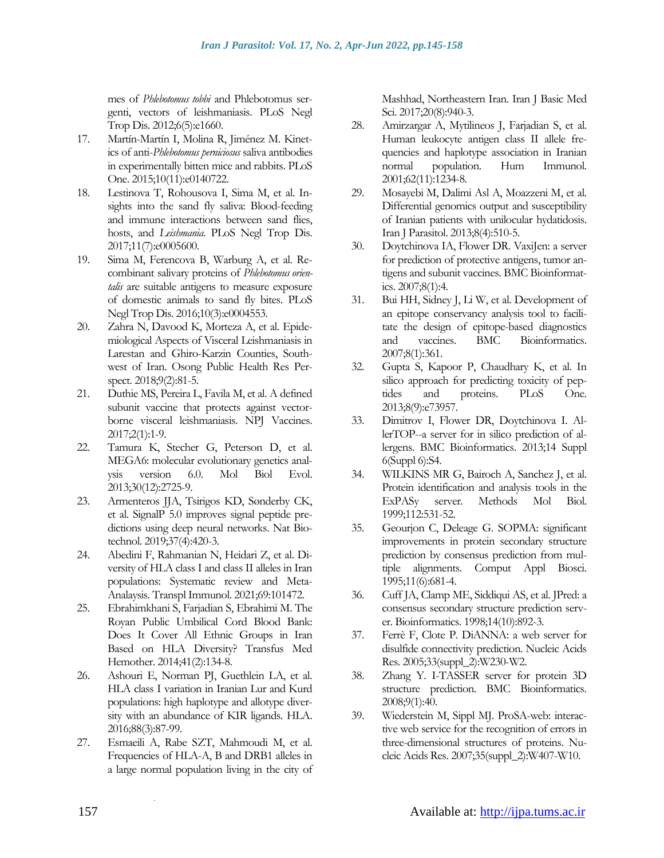mes of *Phlebotomus tobbi* and Phlebotomus sergenti, vectors of leishmaniasis. PLoS Negl Trop Dis. 2012;6(5):e1660.

- 17. Martín-Martín I, Molina R, Jiménez M. Kinetics of anti-*Phlebotomus perniciosus* saliva antibodies in experimentally bitten mice and rabbits. PLoS One. 2015;10(11):e0140722.
- 18. Lestinova T, Rohousova I, Sima M, et al. Insights into the sand fly saliva: Blood-feeding and immune interactions between sand flies, hosts, and *Leishmania*. PLoS Negl Trop Dis. 2017;11(7):e0005600.
- 19. Sima M, Ferencova B, Warburg A, et al. Recombinant salivary proteins of *Phlebotomus orientalis* are suitable antigens to measure exposure of domestic animals to sand fly bites. PLoS Negl Trop Dis. 2016;10(3):e0004553.
- 20. Zahra N, Davood K, Morteza A, et al. Epidemiological Aspects of Visceral Leishmaniasis in Larestan and Ghiro-Karzin Counties, Southwest of Iran. Osong Public Health Res Perspect. 2018;9(2):81-5.
- 21. Duthie MS, Pereira L, Favila M, et al. A defined subunit vaccine that protects against vectorborne visceral leishmaniasis. NPJ Vaccines. 2017;2(1):1-9.
- 22. Tamura K, Stecher G, Peterson D, et al. MEGA6: molecular evolutionary genetics analysis version 6.0. Mol Biol Evol. 2013;30(12):2725-9.
- 23. Armenteros JJA, Tsirigos KD, Sønderby CK, et al. SignalP 5.0 improves signal peptide predictions using deep neural networks. Nat Biotechnol. 2019;37(4):420-3.
- 24. Abedini F, Rahmanian N, Heidari Z, et al. Diversity of HLA class I and class II alleles in Iran populations: Systematic review and Meta-Analaysis. Transpl Immunol. 2021;69:101472.
- 25. Ebrahimkhani S, Farjadian S, Ebrahimi M. The Royan Public Umbilical Cord Blood Bank: Does It Cover All Ethnic Groups in Iran Based on HLA Diversity? Transfus Med Hemother. 2014;41(2):134-8.
- 26. Ashouri E, Norman PJ, Guethlein LA, et al. HLA class I variation in Iranian Lur and Kurd populations: high haplotype and allotype diversity with an abundance of KIR ligands. HLA. 2016;88(3):87-99.
- 27. Esmaeili A, Rabe SZT, Mahmoudi M, et al. Frequencies of HLA-A, B and DRB1 alleles in a large normal population living in the city of

.

Mashhad, Northeastern Iran. Iran J Basic Med Sci. 2017;20(8):940-3.

- 28. Amirzargar A, Mytilineos J, Farjadian S, et al. Human leukocyte antigen class II allele frequencies and haplotype association in Iranian normal population. Hum Immunol. 2001;62(11):1234-8.
- 29. Mosayebi M, Dalimi Asl A, Moazzeni M, et al. Differential genomics output and susceptibility of Iranian patients with unilocular hydatidosis. Iran J Parasitol. 2013;8(4):510-5.
- 30. Doytchinova IA, Flower DR. VaxiJen: a server for prediction of protective antigens, tumor antigens and subunit vaccines. BMC Bioinformatics. 2007;8(1):4.
- 31. Bui HH, Sidney J, Li W, et al. Development of an epitope conservancy analysis tool to facilitate the design of epitope-based diagnostics<br>and vaccines. BMC Bioinformatics. and vaccines. BMC Bioinformatics. 2007;8(1):361.
- 32. Gupta S, Kapoor P, Chaudhary K, et al. In silico approach for predicting toxicity of peptides and proteins. PLoS One. 2013;8(9):e73957.
- 33. Dimitrov I, Flower DR, Doytchinova I. AllerTOP--a server for in silico prediction of allergens. BMC Bioinformatics. 2013;14 Suppl 6(Suppl 6):S4.
- 34. WILKINS MR G, Bairoch A, Sanchez J, et al. Protein identification and analysis tools in the ExPASy server. Methods Mol Biol. 1999;112:531-52.
- 35. Geourjon C, Deleage G. SOPMA: significant improvements in protein secondary structure prediction by consensus prediction from multiple alignments. Comput Appl Biosci. 1995;11(6):681-4.
- 36. Cuff JA, Clamp ME, Siddiqui AS, et al. JPred: a consensus secondary structure prediction server. Bioinformatics. 1998;14(10):892-3.
- 37. Ferrè F, Clote P. DiANNA: a web server for disulfide connectivity prediction. Nucleic Acids Res. 2005;33(suppl\_2):W230-W2.
- 38. Zhang Y. I-TASSER server for protein 3D structure prediction. BMC Bioinformatics. 2008;9(1):40.
- 39. Wiederstein M, Sippl MJ. ProSA-web: interactive web service for the recognition of errors in three-dimensional structures of proteins. Nucleic Acids Res. 2007;35(suppl\_2):W407-W10.